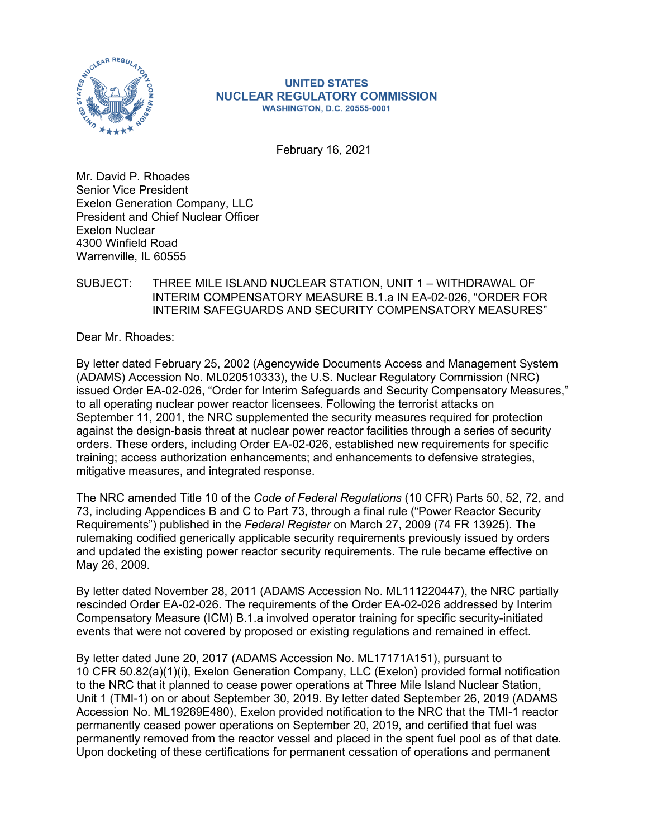

#### **UNITED STATES NUCLEAR REGULATORY COMMISSION WASHINGTON, D.C. 20555-0001**

February 16, 2021

Mr. David P. Rhoades Senior Vice President Exelon Generation Company, LLC President and Chief Nuclear Officer Exelon Nuclear 4300 Winfield Road Warrenville, IL 60555

### SUBJECT: THREE MILE ISLAND NUCLEAR STATION, UNIT 1 – WITHDRAWAL OF INTERIM COMPENSATORY MEASURE B.1.a IN EA-02-026, "ORDER FOR INTERIM SAFEGUARDS AND SECURITY COMPENSATORY MEASURES"

Dear Mr. Rhoades:

By letter dated February 25, 2002 (Agencywide Documents Access and Management System (ADAMS) Accession No. ML020510333), the U.S. Nuclear Regulatory Commission (NRC) issued Order EA-02-026, "Order for Interim Safeguards and Security Compensatory Measures," to all operating nuclear power reactor licensees. Following the terrorist attacks on September 11, 2001, the NRC supplemented the security measures required for protection against the design-basis threat at nuclear power reactor facilities through a series of security orders. These orders, including Order EA-02-026, established new requirements for specific training; access authorization enhancements; and enhancements to defensive strategies, mitigative measures, and integrated response.

The NRC amended Title 10 of the *Code of Federal Regulations* (10 CFR) Parts 50, 52, 72, and 73, including Appendices B and C to Part 73, through a final rule ("Power Reactor Security Requirements") published in the *Federal Register* on March 27, 2009 (74 FR 13925). The rulemaking codified generically applicable security requirements previously issued by orders and updated the existing power reactor security requirements. The rule became effective on May 26, 2009.

By letter dated November 28, 2011 (ADAMS Accession No. ML111220447), the NRC partially rescinded Order EA-02-026. The requirements of the Order EA-02-026 addressed by Interim Compensatory Measure (ICM) B.1.a involved operator training for specific security-initiated events that were not covered by proposed or existing regulations and remained in effect.

By letter dated June 20, 2017 (ADAMS Accession No. ML17171A151), pursuant to 10 CFR 50.82(a)(1)(i), Exelon Generation Company, LLC (Exelon) provided formal notification to the NRC that it planned to cease power operations at Three Mile Island Nuclear Station, Unit 1 (TMI-1) on or about September 30, 2019. By letter dated September 26, 2019 (ADAMS Accession No. ML19269E480), Exelon provided notification to the NRC that the TMI-1 reactor permanently ceased power operations on September 20, 2019, and certified that fuel was permanently removed from the reactor vessel and placed in the spent fuel pool as of that date. Upon docketing of these certifications for permanent cessation of operations and permanent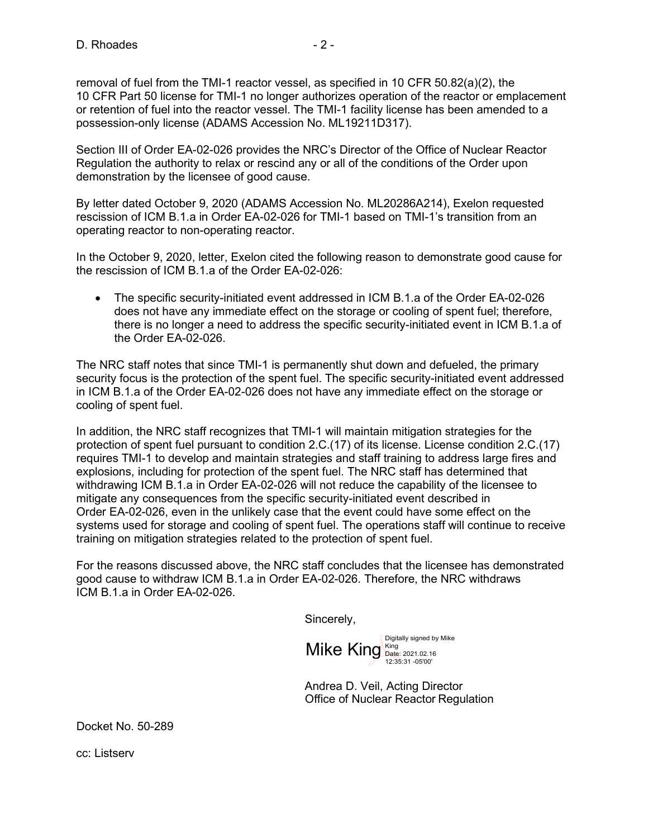removal of fuel from the TMI-1 reactor vessel, as specified in 10 CFR 50.82(a)(2), the 10 CFR Part 50 license for TMI-1 no longer authorizes operation of the reactor or emplacement or retention of fuel into the reactor vessel. The TMI-1 facility license has been amended to a possession-only license (ADAMS Accession No. ML19211D317).

Section III of Order EA-02-026 provides the NRC's Director of the Office of Nuclear Reactor Regulation the authority to relax or rescind any or all of the conditions of the Order upon demonstration by the licensee of good cause.

By letter dated October 9, 2020 (ADAMS Accession No. ML20286A214), Exelon requested rescission of ICM B.1.a in Order EA-02-026 for TMI-1 based on TMI-1's transition from an operating reactor to non-operating reactor.

In the October 9, 2020, letter, Exelon cited the following reason to demonstrate good cause for the rescission of ICM B.1.a of the Order EA-02-026:

• The specific security-initiated event addressed in ICM B.1.a of the Order EA-02-026 does not have any immediate effect on the storage or cooling of spent fuel; therefore, there is no longer a need to address the specific security-initiated event in ICM B.1.a of the Order EA-02-026.

The NRC staff notes that since TMI-1 is permanently shut down and defueled, the primary security focus is the protection of the spent fuel. The specific security-initiated event addressed in ICM B.1.a of the Order EA-02-026 does not have any immediate effect on the storage or cooling of spent fuel.

In addition, the NRC staff recognizes that TMI-1 will maintain mitigation strategies for the protection of spent fuel pursuant to condition 2.C.(17) of its license. License condition 2.C.(17) requires TMI-1 to develop and maintain strategies and staff training to address large fires and explosions, including for protection of the spent fuel. The NRC staff has determined that withdrawing ICM B.1.a in Order EA-02-026 will not reduce the capability of the licensee to mitigate any consequences from the specific security-initiated event described in Order EA-02-026, even in the unlikely case that the event could have some effect on the systems used for storage and cooling of spent fuel. The operations staff will continue to receive training on mitigation strategies related to the protection of spent fuel.

For the reasons discussed above, the NRC staff concludes that the licensee has demonstrated good cause to withdraw ICM B.1.a in Order EA-02-026. Therefore, the NRC withdraws ICM B.1.a in Order EA-02-026.

Sincerely,

Digitally signed by Mike Mike King King 2021.02.16 12:35:31 -05'00'

Andrea D. Veil, Acting Director Office of Nuclear Reactor Regulation

Docket No. 50-289

cc: Listserv